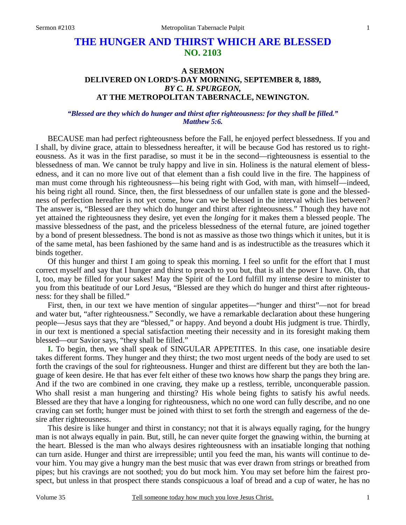# **THE HUNGER AND THIRST WHICH ARE BLESSED NO. 2103**

## **A SERMON DELIVERED ON LORD'S-DAY MORNING, SEPTEMBER 8, 1889,** *BY C. H. SPURGEON,*  **AT THE METROPOLITAN TABERNACLE, NEWINGTON.**

### *"Blessed are they which do hunger and thirst after righteousness: for they shall be filled." Matthew 5:6.*

BECAUSE man had perfect righteousness before the Fall, he enjoyed perfect blessedness. If you and I shall, by divine grace, attain to blessedness hereafter, it will be because God has restored us to righteousness. As it was in the first paradise, so must it be in the second—righteousness is essential to the blessedness of man. We cannot be truly happy and live in sin. Holiness is the natural element of blessedness, and it can no more live out of that element than a fish could live in the fire. The happiness of man must come through his righteousness—his being right with God, with man, with himself—indeed, his being right all round. Since, then, the first blessedness of our unfallen state is gone and the blessedness of perfection hereafter is not yet come, how can we be blessed in the interval which lies between? The answer is, "Blessed are they which do hunger and thirst after righteousness." Though they have not yet attained the righteousness they desire, yet even the *longing* for it makes them a blessed people. The massive blessedness of the past, and the priceless blessedness of the eternal future, are joined together by a bond of present blessedness. The bond is not as massive as those two things which it unites, but it is of the same metal, has been fashioned by the same hand and is as indestructible as the treasures which it binds together.

Of this hunger and thirst I am going to speak this morning. I feel so unfit for the effort that I must correct myself and say that I hunger and thirst to preach to you but, that is all the power I have. Oh, that I, too, may be filled for your sakes! May the Spirit of the Lord fulfill my intense desire to minister to you from this beatitude of our Lord Jesus, "Blessed are they which do hunger and thirst after righteousness: for they shall be filled."

First, then, in our text we have mention of singular appetites—"hunger and thirst"—not for bread and water but, "after righteousness." Secondly, we have a remarkable declaration about these hungering people—Jesus says that they are "blessed," or happy. And beyond a doubt His judgment is true. Thirdly, in our text is mentioned a special satisfaction meeting their necessity and in its foresight making them blessed—our Savior says, "they shall be filled."

**I.** To begin, then, we shall speak of SINGULAR APPETITES. In this case, one insatiable desire takes different forms. They hunger and they thirst; the two most urgent needs of the body are used to set forth the cravings of the soul for righteousness. Hunger and thirst are different but they are both the language of keen desire. He that has ever felt either of these two knows how sharp the pangs they bring are. And if the two are combined in one craving, they make up a restless, terrible, unconquerable passion. Who shall resist a man hungering and thirsting? His whole being fights to satisfy his awful needs. Blessed are they that have a longing for righteousness, which no one word can fully describe, and no one craving can set forth; hunger must be joined with thirst to set forth the strength and eagerness of the desire after righteousness.

This desire is like hunger and thirst in constancy; not that it is always equally raging, for the hungry man is not always equally in pain. But, still, he can never quite forget the gnawing within, the burning at the heart. Blessed is the man who always desires righteousness with an insatiable longing that nothing can turn aside. Hunger and thirst are irrepressible; until you feed the man, his wants will continue to devour him. You may give a hungry man the best music that was ever drawn from strings or breathed from pipes; but his cravings are not soothed; you do but mock him. You may set before him the fairest prospect, but unless in that prospect there stands conspicuous a loaf of bread and a cup of water, he has no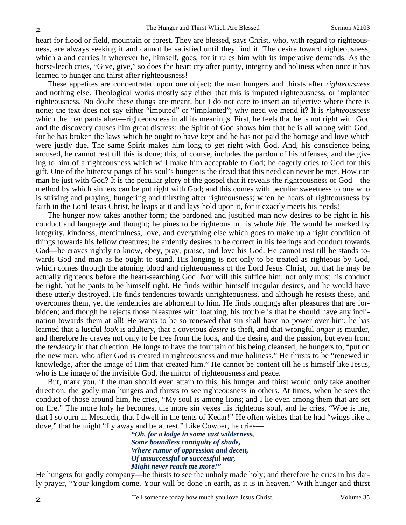heart for flood or field, mountain or forest. They are blessed, says Christ, who, with regard to righteousness, are always seeking it and cannot be satisfied until they find it. The desire toward righteousness, which a and carries it wherever he, himself, goes, for it rules him with its imperative demands. As the horse-leech cries, "Give, give," so does the heart cry after purity, integrity and holiness when once it has learned to hunger and thirst after righteousness!

These appetites are concentrated upon one object; the man hungers and thirsts after *righteousness* and nothing else. Theological works mostly say either that this is imputed righteousness, or implanted righteousness. No doubt these things are meant, but I do not care to insert an adjective where there is none; the text does not say either "imputed" or "implanted"; why need we mend it? It is *righteousness* which the man pants after—righteousness in all its meanings. First, he feels that he is not right with God and the discovery causes him great distress; the Spirit of God shows him that he is all wrong with God, for he has broken the laws which he ought to have kept and he has not paid the homage and love which were justly due. The same Spirit makes him long to get right with God. And, his conscience being aroused, he cannot rest till this is done; this, of course, includes the pardon of his offenses, and the giving to him of a righteousness which will make him acceptable to God; he eagerly cries to God for this gift. One of the bitterest pangs of his soul's hunger is the dread that this need can never be met. How can man be just with God? It is the peculiar glory of the gospel that it reveals the righteousness of God—the method by which sinners can be put right with God; and this comes with peculiar sweetness to one who is striving and praying, hungering and thirsting after righteousness; when he hears of righteousness by faith in the Lord Jesus Christ, he leaps at it and lays hold upon it, for it exactly meets his needs!

The hunger now takes another form; the pardoned and justified man now desires to be right in his conduct and language and thought; he pines to be righteous in his whole *life*. He would be marked by integrity, kindness, mercifulness, love, and everything else which goes to make up a right condition of things towards his fellow creatures; he ardently desires to be correct in his feelings and conduct towards God—he craves rightly to know, obey, pray, praise, and love his God. He cannot rest till he stands towards God and man as he ought to stand. His longing is not only to be treated as righteous by God, which comes through the atoning blood and righteousness of the Lord Jesus Christ, but that he may be actually righteous before the heart-searching God. Nor will this suffice him; not only must his conduct be right, but he pants to be himself right. He finds within himself irregular desires, and he would have these utterly destroyed. He finds tendencies towards unrighteousness, and although he resists these, and overcomes them, yet the tendencies are abhorrent to him. He finds longings after pleasures that are forbidden; and though he rejects those pleasures with loathing, his trouble is that he should have any inclination towards them at all! He wants to be so renewed that sin shall have no power over him; he has learned that a lustful *look* is adultery, that a covetous *desire* is theft, and that wrongful *anger* is murder, and therefore he craves not only to be free from the look, and the desire, and the passion, but even from the *tendency* in that direction. He longs to have the fountain of his being cleansed; he hungers to, "put on the new man, who after God is created in righteousness and true holiness." He thirsts to be "renewed in knowledge, after the image of Him that created him." He cannot be content till he is himself like Jesus, who is the image of the invisible God, the mirror of righteousness and peace.

But, mark you, if the man should even attain to this, his hunger and thirst would only take another direction; the godly man hungers and thirsts to see righteousness in others. At times, when he sees the conduct of those around him, he cries, "My soul is among lions; and I lie even among them that are set on fire." The more holy he becomes, the more sin vexes his righteous soul, and he cries, "Woe is me, that I sojourn in Meshech, that I dwell in the tents of Kedar!" He often wishes that he had "wings like a dove," that he might "fly away and be at rest." Like Cowper, he cries—

*"Oh, for a lodge in some vast wilderness, Some boundless contiguity of shade, Where rumor of oppression and deceit, Of unsuccessful or successful war, Might never reach me more!"* 

He hungers for godly company—he thirsts to see the unholy made holy; and therefore he cries in his daily prayer, "Your kingdom come. Your will be done in earth, as it is in heaven." With hunger and thirst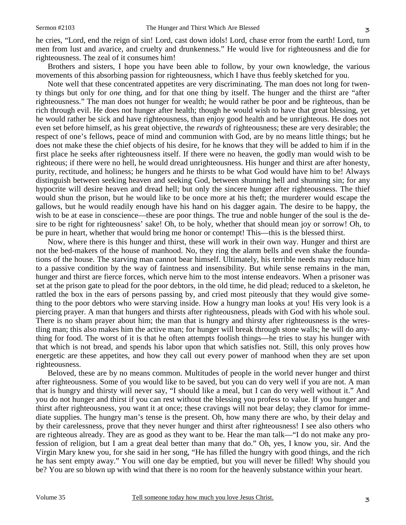he cries, "Lord, end the reign of sin! Lord, cast down idols! Lord, chase error from the earth! Lord, turn men from lust and avarice, and cruelty and drunkenness." He would live for righteousness and die for righteousness. The zeal of it consumes him!

Brothers and sisters, I hope you have been able to follow, by your own knowledge, the various movements of this absorbing passion for righteousness, which I have thus feebly sketched for you.

Note well that these concentrated appetites are very discriminating. The man does not long for twenty things but only for *one* thing, and for that one thing by itself. The hunger and the thirst are "after righteousness." The man does not hunger for wealth; he would rather be poor and be righteous, than be rich through evil. He does not hunger after health; though he would wish to have that great blessing, yet he would rather be sick and have righteousness, than enjoy good health and be unrighteous. He does not even set before himself, as his great objective, the *rewards* of righteousness; these are very desirable; the respect of one's fellows, peace of mind and communion with God, are by no means little things; but he does not make these the chief objects of his desire, for he knows that they will be added to him if in the first place he seeks after righteousness itself. If there were no heaven, the godly man would wish to be righteous; if there were no hell, he would dread unrighteousness. His hunger and thirst are after honesty, purity, rectitude, and holiness; he hungers and he thirsts to be what God would have him to be! Always distinguish between seeking heaven and seeking God, between shunning hell and shunning sin; for any hypocrite will desire heaven and dread hell; but only the sincere hunger after righteousness. The thief would shun the prison, but he would like to be once more at his theft; the murderer would escape the gallows, but he would readily enough have his hand on his dagger again. The desire to be happy, the wish to be at ease in conscience—these are poor things. The true and noble hunger of the soul is the desire to be right for righteousness' sake! Oh, to be holy, whether that should mean joy or sorrow! Oh, to be pure in heart, whether that would bring me honor or contempt! This—this is the blessed thirst.

Now, where there is this hunger and thirst, these will work in their own way. Hunger and thirst are not the bed-makers of the house of manhood. No, they ring the alarm bells and even shake the foundations of the house. The starving man cannot bear himself. Ultimately, his terrible needs may reduce him to a passive condition by the way of faintness and insensibility. But while sense remains in the man, hunger and thirst are fierce forces, which nerve him to the most intense endeavors. When a prisoner was set at the prison gate to plead for the poor debtors, in the old time, he did plead; reduced to a skeleton, he rattled the box in the ears of persons passing by, and cried most piteously that they would give something to the poor debtors who were starving inside. How a hungry man looks at you! His very look is a piercing prayer. A man that hungers and thirsts after righteousness, pleads with God with his whole soul. There is no sham prayer about him; the man that is hungry and thirsty after righteousness is the wrestling man; this also makes him the active man; for hunger will break through stone walls; he will do anything for food. The worst of it is that he often attempts foolish things—he tries to stay his hunger with that which is not bread, and spends his labor upon that which satisfies not. Still, this only proves how energetic are these appetites, and how they call out every power of manhood when they are set upon righteousness.

Beloved, these are by no means common. Multitudes of people in the world never hunger and thirst after righteousness. Some of you would like to be saved, but you can do very well if you are not. A man that is hungry and thirsty will never say, "I should like a meal, but I can do very well without it." And you do not hunger and thirst if you can rest without the blessing you profess to value. If you hunger and thirst after righteousness, you want it at once; these cravings will not bear delay; they clamor for immediate supplies. The hungry man's tense is the present. Oh, how many there are who, by their delay and by their carelessness, prove that they never hunger and thirst after righteousness! I see also others who are righteous already. They are as good as they want to be. Hear the man talk—"I do not make any profession of religion, but I am a great deal better than many that do." Oh, yes, I know you, sir. And the Virgin Mary knew you, for she said in her song, "He has filled the hungry with good things, and the rich he has sent empty away." You will one day be emptied, but you will never be filled! Why should you be? You are so blown up with wind that there is no room for the heavenly substance within your heart.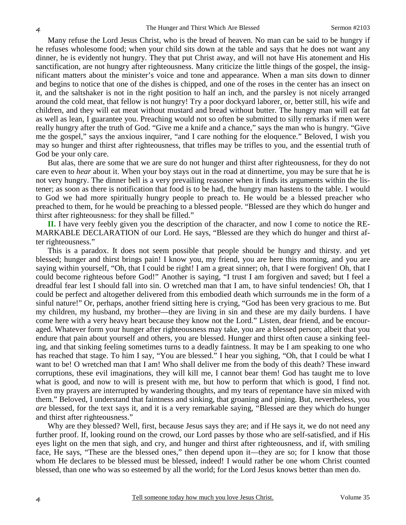Many refuse the Lord Jesus Christ, who is the bread of heaven. No man can be said to be hungry if he refuses wholesome food; when your child sits down at the table and says that he does not want any dinner, he is evidently not hungry. They that put Christ away, and will not have His atonement and His sanctification, are not hungry after righteousness. Many criticize the little things of the gospel, the insignificant matters about the minister's voice and tone and appearance. When a man sits down to dinner and begins to notice that one of the dishes is chipped, and one of the roses in the center has an insect on it, and the saltshaker is not in the right position to half an inch, and the parsley is not nicely arranged around the cold meat, that fellow is not hungry! Try a poor dockyard laborer, or, better still, his wife and children, and they will eat meat without mustard and bread without butter. The hungry man will eat fat as well as lean, I guarantee you. Preaching would not so often be submitted to silly remarks if men were really hungry after the truth of God. "Give me a knife and a chance," says the man who is hungry. "Give me the gospel," says the anxious inquirer, "and I care nothing for the eloquence." Beloved, I wish you may so hunger and thirst after righteousness, that trifles may be trifles to you, and the essential truth of God be your only care.

But alas, there are some that we are sure do not hunger and thirst after righteousness, for they do not care even to *hear* about it. When your boy stays out in the road at dinnertime, you may be sure that he is not very hungry. The dinner bell is a very prevailing reasoner when it finds its arguments within the listener; as soon as there is notification that food is to be had, the hungry man hastens to the table. I would to God we had more spiritually hungry people to preach to. He would be a blessed preacher who preached to them, for he would be preaching to a blessed people. "Blessed are they which do hunger and thirst after righteousness: for they shall be filled."

**II.** I have very feebly given you the description of the character, and now I come to notice the RE-MARKABLE DECLARATION of our Lord. He says, "Blessed are they which do hunger and thirst after righteousness."

This is a paradox. It does not seem possible that people should be hungry and thirsty. and yet blessed; hunger and thirst brings pain! I know you, my friend, you are here this morning, and you are saying within yourself, "Oh, that I could be right! I am a great sinner; oh, that I were forgiven! Oh, that I could become righteous before God!" Another is saying, "I trust I am forgiven and saved; but I feel a dreadful fear lest I should fall into sin. O wretched man that I am, to have sinful tendencies! Oh, that I could be perfect and altogether delivered from this embodied death which surrounds me in the form of a sinful nature!" Or, perhaps, another friend sitting here is crying, "God has been very gracious to me. But my children, my husband, my brother—they are living in sin and these are my daily burdens. I have come here with a very heavy heart because they know not the Lord." Listen, dear friend, and be encouraged. Whatever form your hunger after righteousness may take, you are a blessed person; albeit that you endure that pain about yourself and others, you are blessed. Hunger and thirst often cause a sinking feeling, and that sinking feeling sometimes turns to a deadly faintness. It may be I am speaking to one who has reached that stage. To him I say, "You are blessed." I hear you sighing, "Oh, that I could be what I want to be! O wretched man that I am! Who shall deliver me from the body of this death? These inward corruptions, these evil imaginations, they will kill me, I cannot bear them! God has taught me to love what is good, and now to will is present with me, but how to perform that which is good, I find not. Even my prayers are interrupted by wandering thoughts, and my tears of repentance have sin mixed with them." Beloved, I understand that faintness and sinking, that groaning and pining. But, nevertheless, you *are* blessed, for the text says it, and it is a very remarkable saying, "Blessed are they which do hunger and thirst after righteousness."

Why are they blessed? Well, first, because Jesus says they are; and if He says it, we do not need any further proof. If, looking round on the crowd, our Lord passes by those who are self-satisfied, and if His eyes light on the men that sigh, and cry, and hunger and thirst after righteousness, and if, with smiling face, He says, "These are the blessed ones," then depend upon it—they are so; for I know that those whom He declares to be blessed must be blessed, indeed! I would rather be one whom Christ counted blessed, than one who was so esteemed by all the world; for the Lord Jesus knows better than men do.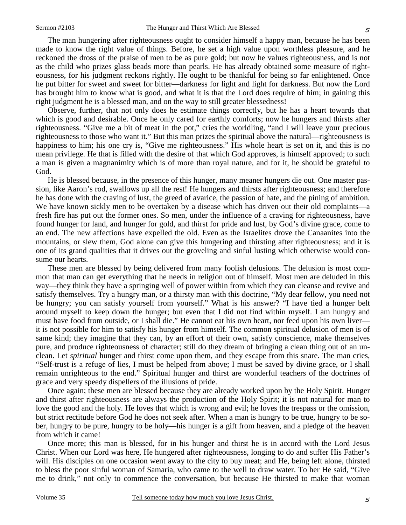The man hungering after righteousness ought to consider himself a happy man, because he has been made to know the right value of things. Before, he set a high value upon worthless pleasure, and he reckoned the dross of the praise of men to be as pure gold; but now he values righteousness, and is not as the child who prizes glass beads more than pearls. He has already obtained some measure of righteousness, for his judgment reckons rightly. He ought to be thankful for being so far enlightened. Once he put bitter for sweet and sweet for bitter—darkness for light and light for darkness. But now the Lord has brought him to know what is good, and what it is that the Lord does require of him; in gaining this right judgment he is a blessed man, and on the way to still greater blessedness!

Observe, further, that not only does he estimate things correctly, but he has a heart towards that which is good and desirable. Once he only cared for earthly comforts; now he hungers and thirsts after righteousness. "Give me a bit of meat in the pot," cries the worldling, "and I will leave your precious righteousness to those who want it." But this man prizes the spiritual above the natural—righteousness is happiness to him; his one cry is, "Give me righteousness." His whole heart is set on it, and this is no mean privilege. He that is filled with the desire of that which God approves, is himself approved; to such a man is given a magnanimity which is of more than royal nature, and for it, he should be grateful to God.

He is blessed because, in the presence of this hunger, many meaner hungers die out. One master passion, like Aaron's rod, swallows up all the rest! He hungers and thirsts after righteousness; and therefore he has done with the craving of lust, the greed of avarice, the passion of hate, and the pining of ambition. We have known sickly men to be overtaken by a disease which has driven out their old complaints—a fresh fire has put out the former ones. So men, under the influence of a craving for righteousness, have found hunger for land, and hunger for gold, and thirst for pride and lust, by God's divine grace, come to an end. The new affections have expelled the old. Even as the Israelites drove the Canaanites into the mountains, or slew them, God alone can give this hungering and thirsting after righteousness; and it is one of its grand qualities that it drives out the groveling and sinful lusting which otherwise would consume our hearts.

These men are blessed by being delivered from many foolish delusions. The delusion is most common that man can get everything that he needs in religion out of himself. Most men are deluded in this way—they think they have a springing well of power within from which they can cleanse and revive and satisfy themselves. Try a hungry man, or a thirsty man with this doctrine, "My dear fellow, you need not be hungry; you can satisfy yourself from yourself." What is his answer? "I have tied a hunger belt around myself to keep down the hunger; but even that I did not find within myself. I am hungry and must have food from outside, or I shall die." He cannot eat his own heart, nor feed upon his own liver it is not possible for him to satisfy his hunger from himself. The common spiritual delusion of men is of same kind; they imagine that they can, by an effort of their own, satisfy conscience, make themselves pure, and produce righteousness of character; still do they dream of bringing a clean thing out of an unclean. Let *spiritual* hunger and thirst come upon them, and they escape from this snare. The man cries, "Self-trust is a refuge of lies, I must be helped from above; I must be saved by divine grace, or I shall remain unrighteous to the end." Spiritual hunger and thirst are wonderful teachers of the doctrines of grace and very speedy dispellers of the illusions of pride.

Once again; these men are blessed because they are already worked upon by the Holy Spirit. Hunger and thirst after righteousness are always the production of the Holy Spirit; it is not natural for man to love the good and the holy. He loves that which is wrong and evil; he loves the trespass or the omission, but strict rectitude before God he does not seek after. When a man is hungry to be true, hungry to be sober, hungry to be pure, hungry to be holy—his hunger is a gift from heaven, and a pledge of the heaven from which it came!

Once more; this man is blessed, for in his hunger and thirst he is in accord with the Lord Jesus Christ. When our Lord was here, He hungered after righteousness, longing to do and suffer His Father's will. His disciples on one occasion went away to the city to buy meat; and He, being left alone, thirsted to bless the poor sinful woman of Samaria, who came to the well to draw water. To her He said, "Give me to drink," not only to commence the conversation, but because He thirsted to make that woman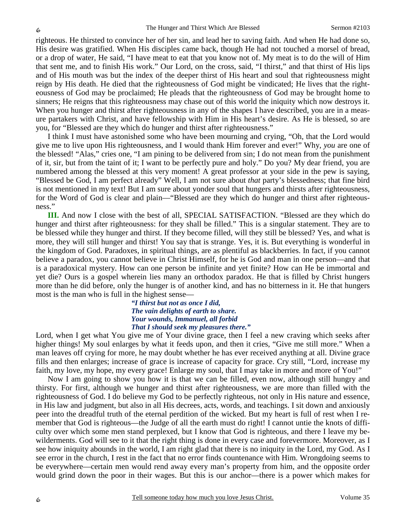righteous. He thirsted to convince her of her sin, and lead her to saving faith. And when He had done so, His desire was gratified. When His disciples came back, though He had not touched a morsel of bread, or a drop of water, He said, "I have meat to eat that you know not of. My meat is to do the will of Him that sent me, and to finish His work." Our Lord, on the cross, said, "I thirst," and that thirst of His lips and of His mouth was but the index of the deeper thirst of His heart and soul that righteousness might reign by His death. He died that the righteousness of God might be vindicated; He lives that the righteousness of God may be proclaimed; He pleads that the righteousness of God may be brought home to sinners; He reigns that this righteousness may chase out of this world the iniquity which now destroys it. When you hunger and thirst after righteousness in any of the shapes I have described, you are in a measure partakers with Christ, and have fellowship with Him in His heart's desire. As He is blessed, so are you, for "Blessed are they which do hunger and thirst after righteousness."

I think I must have astonished some who have been mourning and crying, "Oh, that the Lord would give me to live upon His righteousness, and I would thank Him forever and ever!" Why, *you* are one of the blessed! "Alas," cries one, "I am pining to be delivered from sin; I do not mean from the punishment of it, sir, but from the taint of it; I want to be perfectly pure and holy." Do you? My dear friend, you are numbered among the blessed at this very moment! A great professor at your side in the pew is saying, "Blessed be God, I am perfect already" Well, I am not sure about *that* party's blessedness; that fine bird is not mentioned in my text! But I am sure about yonder soul that hungers and thirsts after righteousness, for the Word of God is clear and plain—"Blessed are they which do hunger and thirst after righteousness."

**III.** And now I close with the best of all, SPECIAL SATISFACTION. "Blessed are they which do hunger and thirst after righteousness: for they shall be filled." This is a singular statement. They are to be blessed while they hunger and thirst. If they become filled, will they still be blessed? Yes, and what is more, they will still hunger and thirst! You say that is strange. Yes, it is. But everything is wonderful in the kingdom of God. Paradoxes, in spiritual things, are as plentiful as blackberries. In fact, if you cannot believe a paradox, you cannot believe in Christ Himself, for he is God and man in one person—and that is a paradoxical mystery. How can one person be infinite and yet finite? How can He be immortal and yet die? Ours is a gospel wherein lies many an orthodox paradox. He that is filled by Christ hungers more than he did before, only the hunger is of another kind, and has no bitterness in it. He that hungers most is the man who is full in the highest sense—

> *"I thirst but not as once I did, The vain delights of earth to share. Your wounds, Immanuel, all forbid That I should seek my pleasures there."*

Lord, when I get what You give me of Your divine grace, then I feel a new craving which seeks after higher things! My soul enlarges by what it feeds upon, and then it cries, "Give me still more." When a man leaves off crying for more, he may doubt whether he has ever received anything at all. Divine grace fills and then enlarges; increase of grace is increase of capacity for grace. Cry still, "Lord, increase my faith, my love, my hope, my every grace! Enlarge my soul, that I may take in more and more of You!"

Now I am going to show you how it is that we can be filled, even now, although still hungry and thirsty. For first, although we hunger and thirst after righteousness, we are more than filled with the righteousness of God. I do believe my God to be perfectly righteous, not only in His nature and essence, in His law and judgment, but also in all His decrees, acts, words, and teachings. I sit down and anxiously peer into the dreadful truth of the eternal perdition of the wicked. But my heart is full of rest when I remember that God is righteous—the Judge of all the earth must do right! I cannot untie the knots of difficulty over which some men stand perplexed, but I know that God is righteous, and there I leave my bewilderments. God will see to it that the right thing is done in every case and forevermore. Moreover, as I see how iniquity abounds in the world, I am right glad that there is no iniquity in the Lord, my God. As I see error in the church, I rest in the fact that no error finds countenance with Him. Wrongdoing seems to be everywhere—certain men would rend away every man's property from him, and the opposite order would grind down the poor in their wages. But this is our anchor—there is a power which makes for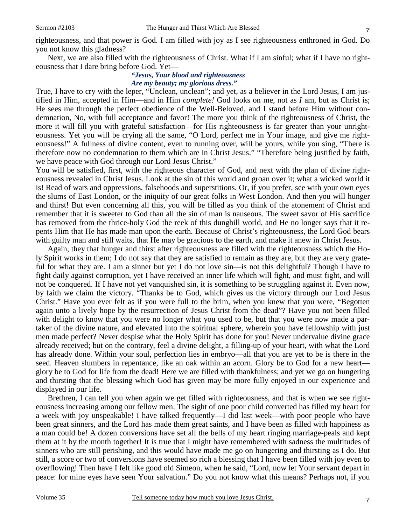righteousness, and that power is God. I am filled with joy as I see righteousness enthroned in God. Do you not know this gladness?

Next, we are also filled with the righteousness of Christ. What if I am sinful; what if I have no righteousness that I dare bring before God. Yet—

#### *"Jesus, Your blood and righteousness Are my beauty; my glorious dress."*

True, I have to cry with the leper, "Unclean, unclean"; and yet, as a believer in the Lord Jesus, I am justified in Him, accepted in Him—and in Him *complete!* God looks on me, not as *I* am, but as Christ is; He sees me through the perfect obedience of the Well-Beloved, and I stand before Him without condemnation, No, with full acceptance and favor! The more you think of the righteousness of Christ, the more it will fill you with grateful satisfaction—for His righteousness is far greater than your unrighteousness. Yet you will be crying all the same, "O Lord, perfect me in Your image, and give me righteousness!" A fullness of divine content, even to running over, will be yours, while you sing, "There is therefore now no condemnation to them which are in Christ Jesus." "Therefore being justified by faith, we have peace with God through our Lord Jesus Christ."

You will be satisfied, first, with the righteous character of God, and next with the plan of divine righteousness revealed in Christ Jesus. Look at the sin of this world and groan over it; what a wicked world it is! Read of wars and oppressions, falsehoods and superstitions. Or, if you prefer, see with your own eyes the slums of East London, or the iniquity of our great folks in West London. And then you will hunger and thirst! But even concerning all this, you will be filled as you think of the atonement of Christ and remember that it is sweeter to God than all the sin of man is nauseous. The sweet savor of His sacrifice has removed from the thrice-holy God the reek of this dunghill world, and He no longer says that it repents Him that He has made man upon the earth. Because of Christ's righteousness, the Lord God bears with guilty man and still waits, that He may be gracious to the earth, and make it anew in Christ Jesus.

Again, they that hunger and thirst after righteousness are filled with the righteousness which the Holy Spirit works in them; I do not say that they are satisfied to remain as they are, but they are very grateful for what they are. I am a sinner but yet I do not love sin—is not this delightful? Though I have to fight daily against corruption, yet I have received an inner life which will fight, and must fight, and will not be conquered. If I have not yet vanquished sin, it is something to be struggling against it. Even now, by faith we claim the victory. "Thanks be to God, which gives us the victory through our Lord Jesus Christ." Have you ever felt as if you were full to the brim, when you knew that you were, "Begotten again unto a lively hope by the resurrection of Jesus Christ from the dead"? Have you not been filled with delight to know that you were no longer what you used to be, but that you were now made a partaker of the divine nature, and elevated into the spiritual sphere, wherein you have fellowship with just men made perfect? Never despise what the Holy Spirit has done for you! Never undervalue divine grace already received; but on the contrary, feel a divine delight, a filling-up of your heart, with what the Lord has already done. Within your soul, perfection lies in embryo—all that you are yet to be is there in the seed. Heaven slumbers in repentance, like an oak within an acorn. Glory be to God for a new heart glory be to God for life from the dead! Here we are filled with thankfulness; and yet we go on hungering and thirsting that the blessing which God has given may be more fully enjoyed in our experience and displayed in our life.

Brethren, I can tell you when again we get filled with righteousness, and that is when we see righteousness increasing among our fellow men. The sight of one poor child converted has filled my heart for a week with joy unspeakable! I have talked frequently—I did last week—with poor people who have been great sinners, and the Lord has made them great saints, and I have been as filled with happiness as a man could be! A dozen conversions have set all the bells of my heart ringing marriage-peals and kept them at it by the month together! It is true that I might have remembered with sadness the multitudes of sinners who are still perishing, and this would have made me go on hungering and thirsting as I do. But still, a score or two of conversions have seemed so rich a blessing that I have been filled with joy even to overflowing! Then have I felt like good old Simeon, when he said, "Lord, now let Your servant depart in peace: for mine eyes have seen Your salvation." Do you not know what this means? Perhaps not, if you